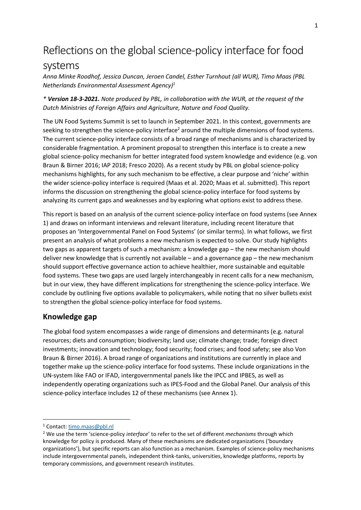# Reflections on the global science-policy interface for food systems

*Anna Minke Roodhof, Jessica Duncan, Jeroen Candel, Esther Turnhout (all WUR), Timo Maas (PBL Netherlands Environmental Assessment Agency) 1*

*\* Version 18-3-2021. Note produced by PBL, in collaboration with the WUR, at the request of the Dutch Ministries of Foreign Affairs and Agriculture, Nature and Food Quality.* 

The UN Food Systems Summit is set to launch in September 2021. In this context, governments are seeking to strengthen the science-policy interface<sup>2</sup> around the multiple dimensions of food systems. The current science-policy interface consists of a broad range of mechanisms and is characterized by considerable fragmentation. A prominent proposal to strengthen this interface is to create a new global science-policy mechanism for better integrated food system knowledge and evidence (e.g. von Braun & Birner 2016; IAP 2018; Fresco 2020). As a recent study by PBL on global science-policy mechanisms highlights, for any such mechanism to be effective, a clear purpose and 'niche' within the wider science-policy interface is required (Maas et al. 2020; Maas et al. submitted). This report informs the discussion on strengthening the global science-policy interface for food systems by analyzing its current gaps and weaknesses and by exploring what options exist to address these.

This report is based on an analysis of the current science-policy interface on food systems (see Annex 1) and draws on informant interviews and relevant literature, including recent literature that proposes an 'Intergovernmental Panel on Food Systems' (or similar terms). In what follows, we first present an analysis of what problems a new mechanism is expected to solve. Our study highlights two gaps as apparent targets of such a mechanism: a knowledge gap – the new mechanism should deliver new knowledge that is currently not available – and a governance gap – the new mechanism should support effective governance action to achieve healthier, more sustainable and equitable food systems. These two gaps are used largely interchangeably in recent calls for a new mechanism, but in our view, they have different implications for strengthening the science-policy interface. We conclude by outlining five options available to policymakers, while noting that no silver bullets exist to strengthen the global science-policy interface for food systems.

#### **Knowledge gap**

The global food system encompasses a wide range of dimensions and determinants (e.g. natural resources; diets and consumption; biodiversity; land use; climate change; trade; foreign direct investments; innovation and technology; food security; food crises; and food safety; see also Von Braun & Birner 2016). A broad range of organizations and institutions are currently in place and together make up the science-policy interface for food systems. These include organizations in the UN-system like FAO or IFAD, intergovernmental panels like the IPCC and IPBES, as well as independently operating organizations such as IPES-Food and the Global Panel. Our analysis of this science-policy interface includes 12 of these mechanisms (see Annex 1).

<sup>1</sup> Contact: [timo.maas@pbl.nl](mailto:timo.maas@pbl.nl)

<sup>2</sup> We use the term 'science-policy *interface*' to refer to the set of different *mechanisms* through which knowledge for policy is produced. Many of these mechanisms are dedicated organizations ('boundary organizations'), but specific reports can also function as a mechanism. Examples of science-policy mechanisms include intergovernmental panels, independent think-tanks, universities, knowledge platforms, reports by temporary commissions, and government research institutes.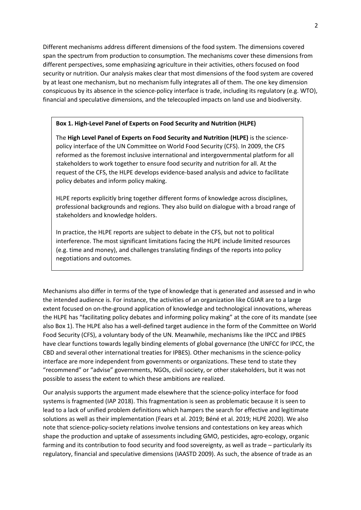Different mechanisms address different dimensions of the food system. The dimensions covered span the spectrum from production to consumption. The mechanisms cover these dimensions from different perspectives, some emphasizing agriculture in their activities, others focused on food security or nutrition. Our analysis makes clear that most dimensions of the food system are covered by at least one mechanism, but no mechanism fully integrates all of them. The one key dimension conspicuous by its absence in the science-policy interface is trade, including its regulatory (e.g. WTO), financial and speculative dimensions, and the telecoupled impacts on land use and biodiversity.

#### **Box 1. High-Level Panel of Experts on Food Security and Nutrition (HLPE)**

The **High Level Panel of Experts on Food Security and Nutrition (HLPE)** is the sciencepolicy interface of the UN Committee on World Food Security (CFS). In 2009, the CFS reformed as the foremost inclusive international and intergovernmental platform for all stakeholders to work together to ensure food security and nutrition for all. At the request of the CFS, the HLPE develops evidence-based analysis and advice to facilitate policy debates and inform policy making.

HLPE reports explicitly bring together different forms of knowledge across disciplines, professional backgrounds and regions. They also build on dialogue with a broad range of stakeholders and knowledge holders.

In practice, the HLPE reports are subject to debate in the CFS, but not to political interference. The most significant limitations facing the HLPE include limited resources (e.g. time and money), and challenges translating findings of the reports into policy negotiations and outcomes.

Mechanisms also differ in terms of the type of knowledge that is generated and assessed and in who the intended audience is. For instance, the activities of an organization like CGIAR are to a large extent focused on on-the-ground application of knowledge and technological innovations, whereas the HLPE has "facilitating policy debates and informing policy making" at the core of its mandate (see also Box 1). The HLPE also has a well-defined target audience in the form of the Committee on World Food Security (CFS), a voluntary body of the UN. Meanwhile, mechanisms like the IPCC and IPBES have clear functions towards legally binding elements of global governance (the UNFCC for IPCC, the CBD and several other international treaties for IPBES). Other mechanisms in the science-policy interface are more independent from governments or organizations. These tend to state they "recommend" or "advise" governments, NGOs, civil society, or other stakeholders, but it was not possible to assess the extent to which these ambitions are realized.

Our analysis supports the argument made elsewhere that the science-policy interface for food systems is fragmented (IAP 2018). This fragmentation is seen as problematic because it is seen to lead to a lack of unified problem definitions which hampers the search for effective and legitimate solutions as well as their implementation (Fears et al. 2019; Béné et al. 2019; HLPE 2020). We also note that science-policy-society relations involve tensions and contestations on key areas which shape the production and uptake of assessments including GMO, pesticides, agro-ecology, organic farming and its contribution to food security and food sovereignty, as well as trade – particularly its regulatory, financial and speculative dimensions (IAASTD 2009). As such, the absence of trade as an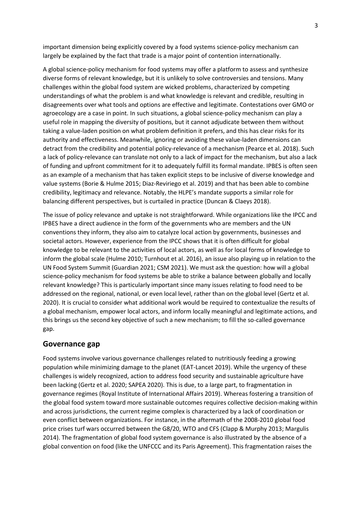important dimension being explicitly covered by a food systems science-policy mechanism can largely be explained by the fact that trade is a major point of contention internationally.

A global science-policy mechanism for food systems may offer a platform to assess and synthesize diverse forms of relevant knowledge, but it is unlikely to solve controversies and tensions. Many challenges within the global food system are wicked problems, characterized by competing understandings of what the problem is and what knowledge is relevant and credible, resulting in disagreements over what tools and options are effective and legitimate. Contestations over GMO or agroecology are a case in point. In such situations, a global science-policy mechanism can play a useful role in mapping the diversity of positions, but it cannot adjudicate between them without taking a value-laden position on what problem definition it prefers, and this has clear risks for its authority and effectiveness. Meanwhile, ignoring or avoiding these value-laden dimensions can detract from the credibility and potential policy-relevance of a mechanism (Pearce et al. 2018). Such a lack of policy-relevance can translate not only to a lack of impact for the mechanism, but also a lack of funding and upfront commitment for it to adequately fulfill its formal mandate. IPBES is often seen as an example of a mechanism that has taken explicit steps to be inclusive of diverse knowledge and value systems (Borie & Hulme 2015; Diaz-Reviriego et al. 2019) and that has been able to combine credibility, legitimacy and relevance. Notably, the HLPE's mandate supports a similar role for balancing different perspectives, but is curtailed in practice (Duncan & Claeys 2018).

The issue of policy relevance and uptake is not straightforward. While organizations like the IPCC and IPBES have a direct audience in the form of the governments who are members and the UN conventions they inform, they also aim to catalyze local action by governments, businesses and societal actors. However, experience from the IPCC shows that it is often difficult for global knowledge to be relevant to the activities of local actors, as well as for local forms of knowledge to inform the global scale (Hulme 2010; Turnhout et al. 2016), an issue also playing up in relation to the UN Food System Summit (Guardian 2021; CSM 2021). We must ask the question: how will a global science-policy mechanism for food systems be able to strike a balance between globally and locally relevant knowledge? This is particularly important since many issues relating to food need to be addressed on the regional, national, or even local level, rather than on the global level (Gertz et al. 2020). It is crucial to consider what additional work would be required to contextualize the results of a global mechanism, empower local actors, and inform locally meaningful and legitimate actions, and this brings us the second key objective of such a new mechanism; to fill the so-called governance gap.

#### **Governance gap**

Food systems involve various governance challenges related to nutritiously feeding a growing population while minimizing damage to the planet (EAT-Lancet 2019). While the urgency of these challenges is widely recognized, action to address food security and sustainable agriculture have been lacking (Gertz et al. 2020; SAPEA 2020). This is due, to a large part, to fragmentation in governance regimes (Royal Institute of International Affairs 2019). Whereas fostering a transition of the global food system toward more sustainable outcomes requires collective decision-making within and across jurisdictions, the current regime complex is characterized by a lack of coordination or even conflict between organizations. For instance, in the aftermath of the 2008-2010 global food price crises turf wars occurred between the G8/20, WTO and CFS (Clapp & Murphy 2013; Margulis 2014). The fragmentation of global food system governance is also illustrated by the absence of a global convention on food (like the UNFCCC and its Paris Agreement). This fragmentation raises the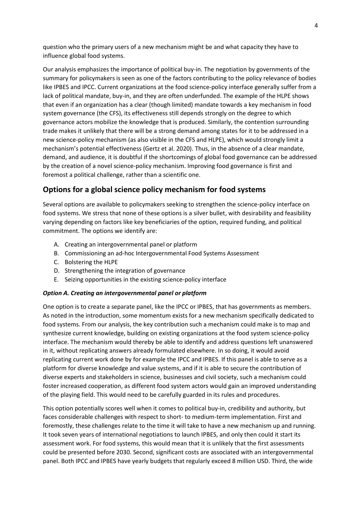question who the primary users of a new mechanism might be and what capacity they have to influence global food systems.

Our analysis emphasizes the importance of political buy-in. The negotiation by governments of the summary for policymakers is seen as one of the factors contributing to the policy relevance of bodies like IPBES and IPCC. Current organizations at the food science-policy interface generally suffer from a lack of political mandate, buy-in, and they are often underfunded. The example of the HLPE shows that even if an organization has a clear (though limited) mandate towards a key mechanism in food system governance (the CFS), its effectiveness still depends strongly on the degree to which governance actors mobilize the knowledge that is produced. Similarly, the contention surrounding trade makes it unlikely that there will be a strong demand among states for it to be addressed in a new science-policy mechanism (as also visible in the CFS and HLPE), which would strongly limit a mechanism's potential effectiveness (Gertz et al. 2020). Thus, in the absence of a clear mandate, demand, and audience, it is doubtful if the shortcomings of global food governance can be addressed by the creation of a novel science-policy mechanism. Improving food governance is first and foremost a political challenge, rather than a scientific one.

### **Options for a global science policy mechanism for food systems**

Several options are available to policymakers seeking to strengthen the science-policy interface on food systems. We stress that none of these options is a silver bullet, with desirability and feasibility varying depending on factors like key beneficiaries of the option, required funding, and political commitment. The options we identify are:

- A. Creating an intergovernmental panel or platform
- B. Commissioning an ad-hoc Intergovernmental Food Systems Assessment
- C. Bolstering the HLPE
- D. Strengthening the integration of governance
- E. Seizing opportunities in the existing science-policy interface

#### *Option A. Creating an intergovernmental panel or platform*

One option is to create a separate panel, like the IPCC or IPBES, that has governments as members. As noted in the introduction, some momentum exists for a new mechanism specifically dedicated to food systems. From our analysis, the key contribution such a mechanism could make is to map and synthesize current knowledge, building on existing organizations at the food system science-policy interface. The mechanism would thereby be able to identify and address questions left unanswered in it, without replicating answers already formulated elsewhere. In so doing, it would avoid replicating current work done by for example the IPCC and IPBES. If this panel is able to serve as a platform for diverse knowledge and value systems, and if it is able to secure the contribution of diverse experts and stakeholders in science, businesses and civil society, such a mechanism could foster increased cooperation, as different food system actors would gain an improved understanding of the playing field. This would need to be carefully guarded in its rules and procedures.

This option potentially scores well when it comes to political buy-in, credibility and authority, but faces considerable challenges with respect to short- to medium-term implementation. First and foremostly, these challenges relate to the time it will take to have a new mechanism up and running. It took seven years of international negotiations to launch IPBES, and only then could it start its assessment work. For food systems, this would mean that it is unlikely that the first assessments could be presented before 2030. Second, significant costs are associated with an intergovernmental panel. Both IPCC and IPBES have yearly budgets that regularly exceed 8 million USD. Third, the wide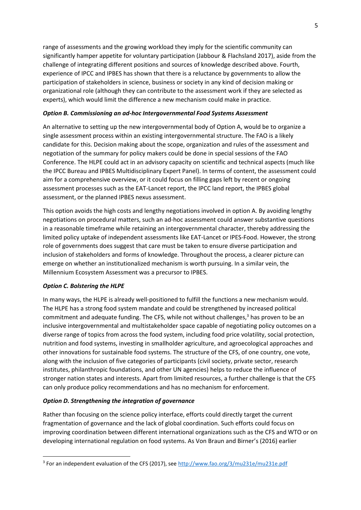range of assessments and the growing workload they imply for the scientific community can significantly hamper appetite for voluntary participation (Jabbour & Flachsland 2017), aside from the challenge of integrating different positions and sources of knowledge described above. Fourth, experience of IPCC and IPBES has shown that there is a reluctance by governments to allow the participation of stakeholders in science, business or society in any kind of decision making or organizational role (although they can contribute to the assessment work if they are selected as experts), which would limit the difference a new mechanism could make in practice.

#### *Option B. Commissioning an ad-hoc Intergovernmental Food Systems Assessment*

An alternative to setting up the new intergovernmental body of Option A, would be to organize a single assessment process within an existing intergovernmental structure. The FAO is a likely candidate for this. Decision making about the scope, organization and rules of the assessment and negotiation of the summary for policy makers could be done in special sessions of the FAO Conference. The HLPE could act in an advisory capacity on scientific and technical aspects (much like the IPCC Bureau and IPBES Multidisciplinary Expert Panel). In terms of content, the assessment could aim for a comprehensive overview, or it could focus on filling gaps left by recent or ongoing assessment processes such as the EAT-Lancet report, the IPCC land report, the IPBES global assessment, or the planned IPBES nexus assessment.

This option avoids the high costs and lengthy negotiations involved in option A. By avoiding lengthy negotiations on procedural matters, such an ad-hoc assessment could answer substantive questions in a reasonable timeframe while retaining an intergovernmental character, thereby addressing the limited policy uptake of independent assessments like EAT-Lancet or IPES-Food. However, the strong role of governments does suggest that care must be taken to ensure diverse participation and inclusion of stakeholders and forms of knowledge. Throughout the process, a clearer picture can emerge on whether an institutionalized mechanism is worth pursuing. In a similar vein, the Millennium Ecosystem Assessment was a precursor to IPBES.

#### *Option C. Bolstering the HLPE*

In many ways, the HLPE is already well-positioned to fulfill the functions a new mechanism would. The HLPE has a strong food system mandate and could be strengthened by increased political commitment and adequate funding. The CFS, while not without challenges,<sup>3</sup> has proven to be an inclusive intergovernmental and multistakeholder space capable of negotiating policy outcomes on a diverse range of topics from across the food system, including food price volatility, social protection, nutrition and food systems, investing in smallholder agriculture, and agroecological approaches and other innovations for sustainable food systems. The structure of the CFS, of one country, one vote, along with the inclusion of five categories of participants (civil society, private sector, research institutes, philanthropic foundations, and other UN agencies) helps to reduce the influence of stronger nation states and interests. Apart from limited resources, a further challenge is that the CFS can only produce policy recommendations and has no mechanism for enforcement.

#### *Option D. Strengthening the integration of governance*

Rather than focusing on the science policy interface, efforts could directly target the current fragmentation of governance and the lack of global coordination. Such efforts could focus on improving coordination between different international organizations such as the CFS and WTO or on developing international regulation on food systems. As Von Braun and Birner's (2016) earlier

<sup>&</sup>lt;sup>3</sup> For an independent evaluation of the CFS (2017), see<http://www.fao.org/3/mu231e/mu231e.pdf>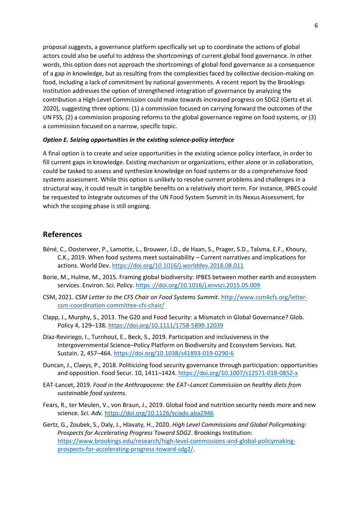proposal suggests, a governance platform specifically set up to coordinate the actions of global actors could also be useful to address the shortcomings of current global food governance. In other words, this option does not approach the shortcomings of global food governance as a consequence of a gap in knowledge, but as resulting from the complexities faced by collective decision-making on food, including a lack of commitment by national governments. A recent report by the Brookings Institution addresses the option of strengthened integration of governance by analyzing the contribution a High-Level Commission could make towards increased progress on SDG2 (Gertz et al. 2020), suggesting three options: (1) a commission focused on carrying forward the outcomes of the UN FSS, (2) a commission proposing reforms to the global governance regime on food systems, or (3) a commission focused on a narrow, specific topic.

#### *Option E. Seizing opportunities in the existing science-policy interface*

A final option is to create and seize opportunities in the existing science policy interface, in order to fill current gaps in knowledge. Existing mechanism or organizations, either alone or in collaboration, could be tasked to assess and synthesize knowledge on food systems or do a comprehensive food systems assessment. While this option is unlikely to resolve current problems and challenges in a structural way, it could result in tangible benefits on a relatively short term. For instance, IPBES could be requested to integrate outcomes of the UN Food System Summit in its Nexus Assessment, for which the scoping phase is still ongoing.

#### **References**

- Béné, C., Oosterveer, P., Lamotte, L., Brouwer, I.D., de Haan, S., Prager, S.D., Talsma, E.F., Khoury, C.K., 2019. When food systems meet sustainability – Current narratives and implications for actions. World Dev.<https://doi.org/10.1016/j.worlddev.2018.08.011>
- Borie, M., Hulme, M., 2015. Framing global biodiversity: IPBES between mother earth and ecosystem services. Environ. Sci. Policy. https [://doi.org/10.1016/j.envsci.2015.05.009](https://doi.org/10.1016/j.envsci.2015.05.009)
- CSM, 2021. *CSM Letter to the CFS Chair on Food Systems Summit*[. http://www.csm4cfs.org/letter](http://www.csm4cfs.org/letter-csm-coordination-committee-cfs-chair/)[csm-coordination-committee-cfs-chair/](http://www.csm4cfs.org/letter-csm-coordination-committee-cfs-chair/)
- Clapp, J., Murphy, S., 2013. The G20 and Food Security: a Mismatch in Global Governance? Glob. Policy 4, 129–138[. https://doi.org/10.1111/1758-5899.12039](https://doi.org/10.1111/1758-5899.12039)
- Díaz-Reviriego, I., Turnhout, E., Beck, S., 2019. Participation and inclusiveness in the Intergovernmental Science–Policy Platform on Biodiversity and Ecosystem Services. Nat. Sustain. 2, 457–464[. https://doi.org/10.1038/s41893-019-0290-6](https://doi.org/10.1038/s41893-019-0290-6)
- Duncan, J., Claeys, P., 2018. Politicizing food security governance through participation: opportunities and opposition. Food Secur. 10, 1411–1424.<https://doi.org/10.1007/s12571-018-0852-x>
- EAT-Lancet, 2019. *Food in the Anthropocene: the EAT–Lancet Commission on healthy diets from sustainable food systems.*
- Fears, R., ter Meulen, V., von Braun, J., 2019. Global food and nutrition security needs more and new science. *Sci. Adv.* <https://doi.org/10.1126/sciadv.aba2946>
- Gertz, G., Zoubek, S., Daly, J., Hlavaty, H., 2020. *High Level Commissions and Global Policymaking: Prospects for Accelerating Progress Toward SDG2*. Brookings Institution: [https://www.brookings.edu/research/high-level-commissions-and-global-policymaking](https://www.brookings.edu/research/high-level-commissions-and-global-policymaking-prospects-for-accelerating-progress-toward-sdg2/)[prospects-for-accelerating-progress-toward-sdg2/.](https://www.brookings.edu/research/high-level-commissions-and-global-policymaking-prospects-for-accelerating-progress-toward-sdg2/)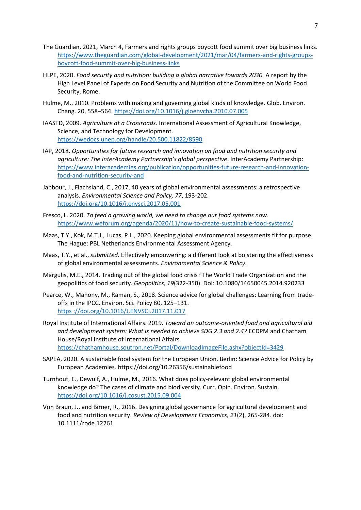- The Guardian, 2021, March 4, Farmers and rights groups boycott food summit over big business links. [https://www.theguardian.com/global-development/2021/mar/04/farmers-and-rights-groups](https://www.theguardian.com/global-development/2021/mar/04/farmers-and-rights-groups-boycott-food-summit-over-big-business-links)[boycott-food-summit-over-big-business-links](https://www.theguardian.com/global-development/2021/mar/04/farmers-and-rights-groups-boycott-food-summit-over-big-business-links)
- HLPE, 2020. *Food security and nutrition: building a global narrative towards 2030.* A report by the High Level Panel of Experts on Food Security and Nutrition of the Committee on World Food Security, Rome.
- Hulme, M., 2010. Problems with making and governing global kinds of knowledge. Glob. Environ. Chang. 20, 558–564[. https://doi.org/10.1016/j.gloenvcha.2010.07.005](https://doi.org/10.1016/j.gloenvcha.2010.07.005)
- IAASTD, 2009. *Agriculture at a Crossroads.* International Assessment of Agricultural Knowledge, Science, and Technology for Development. <https://wedocs.unep.org/handle/20.500.11822/8590>
- IAP, 2018. *Opportunities for future research and innovation on food and nutrition security and agriculture: The InterAcademy Partnership's global perspective*. InterAcademy Partnership: [https://www.interacademies.org/publication/opportunities-future-research-and-innovation](https://www.interacademies.org/publication/opportunities-future-research-and-innovation-food-and-nutrition-security-and)[food-and-nutrition-security-and](https://www.interacademies.org/publication/opportunities-future-research-and-innovation-food-and-nutrition-security-and)
- Jabbour, J., Flachsland, C., 2017, 40 years of global environmental assessments: a retrospective analysis. *Environmental Science and Policy, 77*, 193-202. <https://doi.org/10.1016/j.envsci.2017.05.001>
- Fresco, L. 2020. *To feed a growing world, we need to change our food systems now*. <https://www.weforum.org/agenda/2020/11/how-to-create-sustainable-food-systems/>
- Maas, T.Y., Kok, M.T.J., Lucas, P.L., 2020. Keeping global environmental assessments fit for purpose. The Hague: PBL Netherlands Environmental Assessment Agency.
- Maas, T.Y., et al., *submitted*. Effectively empowering: a different look at bolstering the effectiveness of global environmental assessments. *Environmental Science & Policy*.
- Margulis, M.E., 2014. Trading out of the global food crisis? The World Trade Organization and the geopolitics of food security. *Geopolitics, 19*(322-350). Doi: 10.1080/14650045.2014.920233
- Pearce, W., Mahony, M., Raman, S., 2018. Science advice for global challenges: Learning from tradeoffs in the IPCC. Environ. Sci. Policy 80, 125–131. https [://doi.org/10.1016/J.ENVSCI.2017.11.017](https://doi.org/10.1016/J.ENVSCI.2017.11.017)
- Royal Institute of International Affairs. 2019. *Toward an outcome-oriented food and agricultural aid and development system: What is needed to achieve SDG 2.3 and 2.4?* ECDPM and Chatham House/Royal Institute of International Affairs. <https://chathamhouse.soutron.net/Portal/DownloadImageFile.ashx?objectId=3429>
- SAPEA, 2020. A sustainable food system for the European Union. Berlin: Science Advice for Policy by European Academies. https://doi.org/10.26356/sustainablefood
- Turnhout, E., Dewulf, A., Hulme, M., 2016. What does policy-relevant global environmental knowledge do? The cases of climate and biodiversity. Curr. Opin. Environ. Sustain. <https://doi.org/10.1016/j.cosust.2015.09.004>
- Von Braun, J., and Birner, R., 2016. Designing global governance for agricultural development and food and nutrition security. *Review of Development Economics, 21*(2), 265-284. doi: 10.1111/rode.12261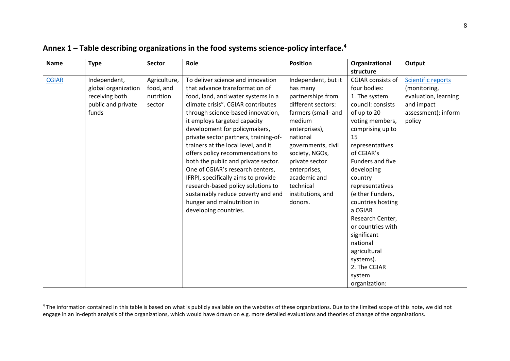| <b>Name</b>  | <b>Type</b>                                                                          | <b>Sector</b>                                    | Role                                                                                                                                                                                                                                                                                                                                                                                                                                                                                                                                                                                                                           | <b>Position</b>                                                                                                                                                                                                                                                                 | Organizational<br>structure                                                                                                                                                                                                                                                                                                                                                                                                                 | Output                                                                                                           |
|--------------|--------------------------------------------------------------------------------------|--------------------------------------------------|--------------------------------------------------------------------------------------------------------------------------------------------------------------------------------------------------------------------------------------------------------------------------------------------------------------------------------------------------------------------------------------------------------------------------------------------------------------------------------------------------------------------------------------------------------------------------------------------------------------------------------|---------------------------------------------------------------------------------------------------------------------------------------------------------------------------------------------------------------------------------------------------------------------------------|---------------------------------------------------------------------------------------------------------------------------------------------------------------------------------------------------------------------------------------------------------------------------------------------------------------------------------------------------------------------------------------------------------------------------------------------|------------------------------------------------------------------------------------------------------------------|
| <b>CGIAR</b> | Independent,<br>global organization<br>receiving both<br>public and private<br>funds | Agriculture,<br>food, and<br>nutrition<br>sector | To deliver science and innovation<br>that advance transformation of<br>food, land, and water systems in a<br>climate crisis". CGIAR contributes<br>through science-based innovation,<br>it employs targeted capacity<br>development for policymakers,<br>private sector partners, training-of-<br>trainers at the local level, and it<br>offers policy recommendations to<br>both the public and private sector.<br>One of CGIAR's research centers,<br>IFRPI, specifically aims to provide<br>research-based policy solutions to<br>sustainably reduce poverty and end<br>hunger and malnutrition in<br>developing countries. | Independent, but it<br>has many<br>partnerships from<br>different sectors:<br>farmers (small- and<br>medium<br>enterprises),<br>national<br>governments, civil<br>society, NGOs,<br>private sector<br>enterprises,<br>academic and<br>technical<br>institutions, and<br>donors. | <b>CGIAR</b> consists of<br>four bodies:<br>1. The system<br>council: consists<br>of up to 20<br>voting members,<br>comprising up to<br>15<br>representatives<br>of CGIAR's<br>Funders and five<br>developing<br>country<br>representatives<br>(either Funders,<br>countries hosting<br>a CGIAR<br>Research Center,<br>or countries with<br>significant<br>national<br>agricultural<br>systems).<br>2. The CGIAR<br>system<br>organization: | <b>Scientific reports</b><br>(monitoring,<br>evaluation, learning<br>and impact<br>assessment); inform<br>policy |

## **Annex 1 – Table describing organizations in the food systems science-policy interface.<sup>4</sup>**

<sup>&</sup>lt;sup>4</sup> The information contained in this table is based on what is publicly available on the websites of these organizations. Due to the limited scope of this note, we did not engage in an in-depth analysis of the organizations, which would have drawn on e.g. more detailed evaluations and theories of change of the organizations.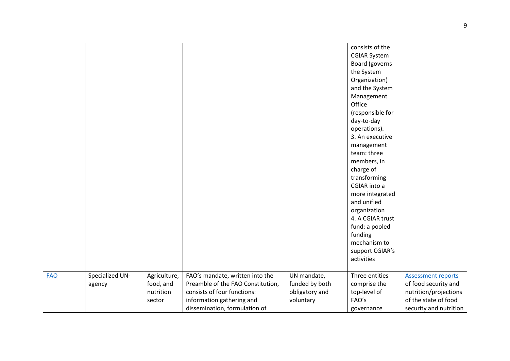|            |                           |                                                  |                                                                                                                                  |                                                              | consists of the<br><b>CGIAR System</b><br>Board (governs<br>the System<br>Organization)<br>and the System<br>Management<br>Office<br>(responsible for<br>day-to-day<br>operations).<br>3. An executive<br>management<br>team: three<br>members, in<br>charge of<br>transforming<br>CGIAR into a<br>more integrated<br>and unified<br>organization<br>4. A CGIAR trust<br>fund: a pooled<br>funding<br>mechanism to |                                                                                                    |
|------------|---------------------------|--------------------------------------------------|----------------------------------------------------------------------------------------------------------------------------------|--------------------------------------------------------------|--------------------------------------------------------------------------------------------------------------------------------------------------------------------------------------------------------------------------------------------------------------------------------------------------------------------------------------------------------------------------------------------------------------------|----------------------------------------------------------------------------------------------------|
|            |                           |                                                  |                                                                                                                                  |                                                              | support CGIAR's                                                                                                                                                                                                                                                                                                                                                                                                    |                                                                                                    |
|            |                           |                                                  |                                                                                                                                  |                                                              | activities                                                                                                                                                                                                                                                                                                                                                                                                         |                                                                                                    |
| <b>FAO</b> | Specialized UN-<br>agency | Agriculture,<br>food, and<br>nutrition<br>sector | FAO's mandate, written into the<br>Preamble of the FAO Constitution,<br>consists of four functions:<br>information gathering and | UN mandate,<br>funded by both<br>obligatory and<br>voluntary | Three entities<br>comprise the<br>top-level of<br>FAO's                                                                                                                                                                                                                                                                                                                                                            | <b>Assessment reports</b><br>of food security and<br>nutrition/projections<br>of the state of food |
|            |                           |                                                  | dissemination, formulation of                                                                                                    |                                                              | governance                                                                                                                                                                                                                                                                                                                                                                                                         | security and nutrition                                                                             |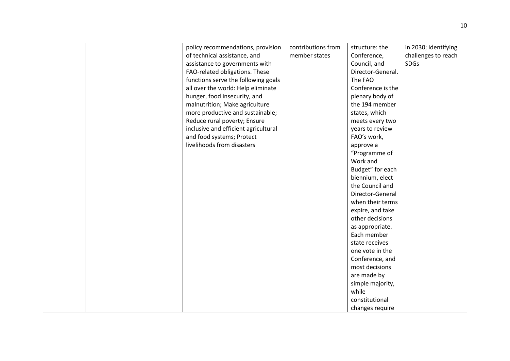|  | policy recommendations, provision    | contributions from | structure: the    | in 2030; identifying |
|--|--------------------------------------|--------------------|-------------------|----------------------|
|  | of technical assistance, and         | member states      | Conference,       | challenges to reach  |
|  | assistance to governments with       |                    | Council, and      | <b>SDGs</b>          |
|  | FAO-related obligations. These       |                    | Director-General. |                      |
|  | functions serve the following goals  |                    | The FAO           |                      |
|  | all over the world: Help eliminate   |                    | Conference is the |                      |
|  | hunger, food insecurity, and         |                    | plenary body of   |                      |
|  | malnutrition; Make agriculture       |                    | the 194 member    |                      |
|  | more productive and sustainable;     |                    | states, which     |                      |
|  | Reduce rural poverty; Ensure         |                    | meets every two   |                      |
|  | inclusive and efficient agricultural |                    | years to review   |                      |
|  | and food systems; Protect            |                    | FAO's work,       |                      |
|  | livelihoods from disasters           |                    | approve a         |                      |
|  |                                      |                    | "Programme of     |                      |
|  |                                      |                    | Work and          |                      |
|  |                                      |                    | Budget" for each  |                      |
|  |                                      |                    | biennium, elect   |                      |
|  |                                      |                    | the Council and   |                      |
|  |                                      |                    | Director-General  |                      |
|  |                                      |                    | when their terms  |                      |
|  |                                      |                    | expire, and take  |                      |
|  |                                      |                    | other decisions   |                      |
|  |                                      |                    | as appropriate.   |                      |
|  |                                      |                    | Each member       |                      |
|  |                                      |                    | state receives    |                      |
|  |                                      |                    | one vote in the   |                      |
|  |                                      |                    | Conference, and   |                      |
|  |                                      |                    | most decisions    |                      |
|  |                                      |                    | are made by       |                      |
|  |                                      |                    | simple majority,  |                      |
|  |                                      |                    | while             |                      |
|  |                                      |                    | constitutional    |                      |
|  |                                      |                    | changes require   |                      |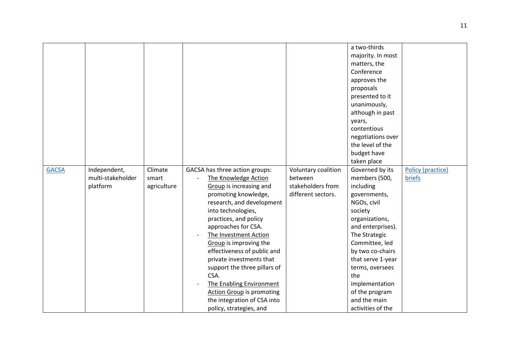|              |                   |             |                                  |                     | a two-thirds      |                   |
|--------------|-------------------|-------------|----------------------------------|---------------------|-------------------|-------------------|
|              |                   |             |                                  |                     | majority. In most |                   |
|              |                   |             |                                  |                     | matters, the      |                   |
|              |                   |             |                                  |                     | Conference        |                   |
|              |                   |             |                                  |                     | approves the      |                   |
|              |                   |             |                                  |                     | proposals         |                   |
|              |                   |             |                                  |                     | presented to it   |                   |
|              |                   |             |                                  |                     | unanimously,      |                   |
|              |                   |             |                                  |                     | although in past  |                   |
|              |                   |             |                                  |                     | years,            |                   |
|              |                   |             |                                  |                     | contentious       |                   |
|              |                   |             |                                  |                     | negotiations over |                   |
|              |                   |             |                                  |                     | the level of the  |                   |
|              |                   |             |                                  |                     | budget have       |                   |
|              |                   |             |                                  |                     | taken place       |                   |
| <b>GACSA</b> | Independent,      | Climate     | GACSA has three action groups:   | Voluntary coalition | Governed by its   | Policy (practice) |
|              | multi-stakeholder | smart       | The Knowledge Action             | between             | members (500,     | briefs            |
|              | platform          | agriculture | <b>Group</b> is increasing and   | stakeholders from   | including         |                   |
|              |                   |             | promoting knowledge,             | different sectors.  | governments,      |                   |
|              |                   |             | research, and development        |                     | NGOs, civil       |                   |
|              |                   |             | into technologies,               |                     | society           |                   |
|              |                   |             | practices, and policy            |                     | organizations,    |                   |
|              |                   |             | approaches for CSA.              |                     | and enterprises). |                   |
|              |                   |             | The Investment Action            |                     | The Strategic     |                   |
|              |                   |             | Group is improving the           |                     | Committee, led    |                   |
|              |                   |             | effectiveness of public and      |                     | by two co-chairs  |                   |
|              |                   |             | private investments that         |                     | that serve 1-year |                   |
|              |                   |             | support the three pillars of     |                     | terms, oversees   |                   |
|              |                   |             | CSA.                             |                     | the               |                   |
|              |                   |             | The Enabling Environment         |                     | implementation    |                   |
|              |                   |             | <b>Action Group is promoting</b> |                     | of the program    |                   |
|              |                   |             | the integration of CSA into      |                     | and the main      |                   |
|              |                   |             | policy, strategies, and          |                     | activities of the |                   |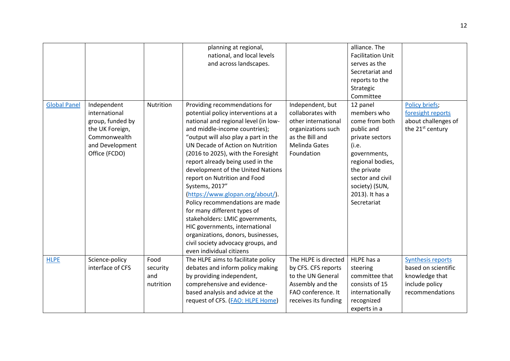|                     |                  |           | planning at regional,                |                      | alliance. The            |                              |
|---------------------|------------------|-----------|--------------------------------------|----------------------|--------------------------|------------------------------|
|                     |                  |           | national, and local levels           |                      | <b>Facilitation Unit</b> |                              |
|                     |                  |           | and across landscapes.               |                      | serves as the            |                              |
|                     |                  |           |                                      |                      | Secretariat and          |                              |
|                     |                  |           |                                      |                      | reports to the           |                              |
|                     |                  |           |                                      |                      | Strategic                |                              |
|                     |                  |           |                                      |                      | Committee                |                              |
| <b>Global Panel</b> | Independent      | Nutrition | Providing recommendations for        | Independent, but     | 12 panel                 | Policy briefs;               |
|                     | international    |           | potential policy interventions at a  | collaborates with    | members who              | foresight reports            |
|                     | group, funded by |           | national and regional level (in low- | other international  | come from both           | about challenges of          |
|                     | the UK Foreign,  |           | and middle-income countries);        | organizations such   | public and               | the 21 <sup>st</sup> century |
|                     | Commonwealth     |           | "output will also play a part in the | as the Bill and      | private sectors          |                              |
|                     | and Development  |           | UN Decade of Action on Nutrition     | <b>Melinda Gates</b> | (i.e.                    |                              |
|                     | Office (FCDO)    |           | (2016 to 2025), with the Foresight   | Foundation           | governments,             |                              |
|                     |                  |           | report already being used in the     |                      | regional bodies,         |                              |
|                     |                  |           | development of the United Nations    |                      | the private              |                              |
|                     |                  |           | report on Nutrition and Food         |                      | sector and civil         |                              |
|                     |                  |           | Systems, 2017"                       |                      | society) (SUN,           |                              |
|                     |                  |           | (https://www.glopan.org/about/).     |                      | 2013). It has a          |                              |
|                     |                  |           | Policy recommendations are made      |                      | Secretariat              |                              |
|                     |                  |           | for many different types of          |                      |                          |                              |
|                     |                  |           | stakeholders: LMIC governments,      |                      |                          |                              |
|                     |                  |           | HIC governments, international       |                      |                          |                              |
|                     |                  |           | organizations, donors, businesses,   |                      |                          |                              |
|                     |                  |           | civil society advocacy groups, and   |                      |                          |                              |
|                     |                  |           | even individual citizens             |                      |                          |                              |
|                     |                  |           |                                      |                      | HLPE has a               |                              |
| <b>HLPE</b>         | Science-policy   | Food      | The HLPE aims to facilitate policy   | The HLPE is directed |                          | Synthesis reports            |
|                     | interface of CFS | security  | debates and inform policy making     | by CFS. CFS reports  | steering                 | based on scientific          |
|                     |                  | and       | by providing independent,            | to the UN General    | committee that           | knowledge that               |
|                     |                  | nutrition | comprehensive and evidence-          | Assembly and the     | consists of 15           | include policy               |
|                     |                  |           | based analysis and advice at the     | FAO conference. It   | internationally          | recommendations              |
|                     |                  |           | request of CFS. (FAO: HLPE Home)     | receives its funding | recognized               |                              |
|                     |                  |           |                                      |                      | experts in a             |                              |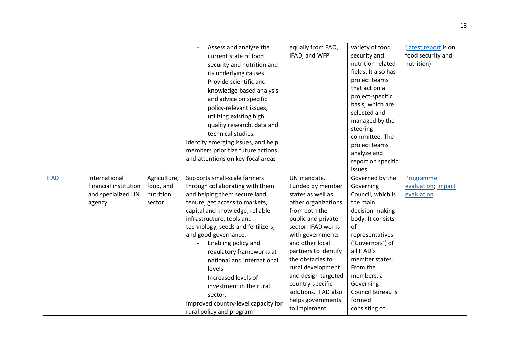|             |                       |              | Assess and analyze the              | equally from FAO,    | variety of food     | (latest report is on |
|-------------|-----------------------|--------------|-------------------------------------|----------------------|---------------------|----------------------|
|             |                       |              | current state of food               | IFAD, and WFP        | security and        | food security and    |
|             |                       |              | security and nutrition and          |                      | nutrition related   | nutrition)           |
|             |                       |              | its underlying causes.              |                      | fields. It also has |                      |
|             |                       |              | Provide scientific and              |                      | project teams       |                      |
|             |                       |              | knowledge-based analysis            |                      | that act on a       |                      |
|             |                       |              | and advice on specific              |                      | project-specific    |                      |
|             |                       |              | policy-relevant issues,             |                      | basis, which are    |                      |
|             |                       |              | utilizing existing high             |                      | selected and        |                      |
|             |                       |              | quality research, data and          |                      | managed by the      |                      |
|             |                       |              | technical studies.                  |                      | steering            |                      |
|             |                       |              | Identify emerging issues, and help  |                      | committee. The      |                      |
|             |                       |              | members prioritize future actions   |                      | project teams       |                      |
|             |                       |              | and attentions on key focal areas   |                      | analyze and         |                      |
|             |                       |              |                                     |                      | report on specific  |                      |
|             |                       |              |                                     |                      | issues              |                      |
| <b>IFAD</b> | International         | Agriculture, | Supports small-scale farmers        | UN mandate.          | Governed by the     | Programme            |
|             | financial institution | food, and    | through collaborating with them     | Funded by member     | Governing           | evaluation; impact   |
|             | and specialized UN    | nutrition    | and helping them secure land        | states as well as    | Council, which is   | evaluation           |
|             | agency                | sector       | tenure, get access to markets,      | other organizations  | the main            |                      |
|             |                       |              | capital and knowledge, reliable     | from both the        | decision-making     |                      |
|             |                       |              | infrastructure, tools and           | public and private   | body. It consists   |                      |
|             |                       |              | technology, seeds and fertilizers,  | sector. IFAD works   | of                  |                      |
|             |                       |              | and good governance.                | with governments     | representatives     |                      |
|             |                       |              | Enabling policy and                 | and other local      | ('Governors') of    |                      |
|             |                       |              | regulatory frameworks at            | partners to identify | all IFAD's          |                      |
|             |                       |              | national and international          | the obstacles to     | member states.      |                      |
|             |                       |              | levels.                             | rural development    | From the            |                      |
|             |                       |              | Increased levels of                 | and design targeted  | members, a          |                      |
|             |                       |              | investment in the rural             | country-specific     | Governing           |                      |
|             |                       |              | sector.                             | solutions. IFAD also | Council Bureau is   |                      |
|             |                       |              | Improved country-level capacity for | helps governments    | formed              |                      |
|             |                       |              | rural policy and program            | to implement         | consisting of       |                      |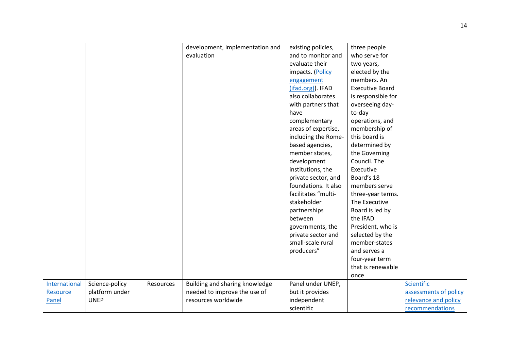|               |                |           | development, implementation and | existing policies,   | three people           |                       |
|---------------|----------------|-----------|---------------------------------|----------------------|------------------------|-----------------------|
|               |                |           | evaluation                      | and to monitor and   | who serve for          |                       |
|               |                |           |                                 | evaluate their       | two years,             |                       |
|               |                |           |                                 | impacts. (Policy     | elected by the         |                       |
|               |                |           |                                 | engagement           | members. An            |                       |
|               |                |           |                                 | (ifad.org)). IFAD    | <b>Executive Board</b> |                       |
|               |                |           |                                 | also collaborates    | is responsible for     |                       |
|               |                |           |                                 | with partners that   | overseeing day-        |                       |
|               |                |           |                                 | have                 | to-day                 |                       |
|               |                |           |                                 | complementary        | operations, and        |                       |
|               |                |           |                                 | areas of expertise,  | membership of          |                       |
|               |                |           |                                 | including the Rome-  | this board is          |                       |
|               |                |           |                                 | based agencies,      | determined by          |                       |
|               |                |           |                                 | member states,       | the Governing          |                       |
|               |                |           |                                 | development          | Council. The           |                       |
|               |                |           |                                 | institutions, the    | Executive              |                       |
|               |                |           |                                 | private sector, and  | Board's 18             |                       |
|               |                |           |                                 | foundations. It also | members serve          |                       |
|               |                |           |                                 | facilitates "multi-  | three-year terms.      |                       |
|               |                |           |                                 | stakeholder          | The Executive          |                       |
|               |                |           |                                 | partnerships         | Board is led by        |                       |
|               |                |           |                                 | between              | the IFAD               |                       |
|               |                |           |                                 | governments, the     | President, who is      |                       |
|               |                |           |                                 | private sector and   | selected by the        |                       |
|               |                |           |                                 | small-scale rural    | member-states          |                       |
|               |                |           |                                 | producers"           | and serves a           |                       |
|               |                |           |                                 |                      | four-year term         |                       |
|               |                |           |                                 |                      | that is renewable      |                       |
|               |                |           |                                 |                      | once                   |                       |
| International | Science-policy | Resources | Building and sharing knowledge  | Panel under UNEP,    |                        | Scientific            |
| Resource      | platform under |           | needed to improve the use of    | but it provides      |                        | assessments of policy |
| Panel         | <b>UNEP</b>    |           | resources worldwide             | independent          |                        | relevance and policy  |
|               |                |           |                                 | scientific           |                        | recommendations       |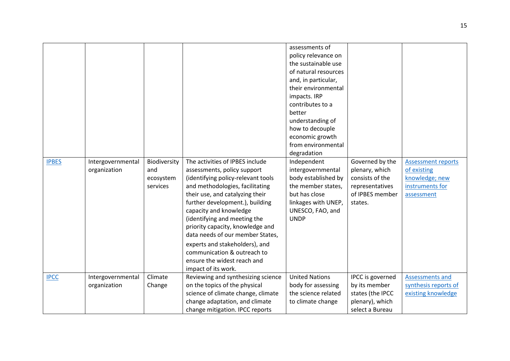| <b>IPBES</b> | Intergovernmental<br>organization | Biodiversity<br>and<br>ecosystem<br>services | The activities of IPBES include<br>assessments, policy support<br>(identifying policy-relevant tools<br>and methodologies, facilitating<br>their use, and catalyzing their<br>further development.), building<br>capacity and knowledge<br>(identifying and meeting the<br>priority capacity, knowledge and<br>data needs of our member States,<br>experts and stakeholders), and<br>communication & outreach to<br>ensure the widest reach and<br>impact of its work. | assessments of<br>policy relevance on<br>the sustainable use<br>of natural resources<br>and, in particular,<br>their environmental<br>impacts. IRP<br>contributes to a<br>better<br>understanding of<br>how to decouple<br>economic growth<br>from environmental<br>degradation<br>Independent<br>intergovernmental<br>body established by<br>the member states,<br>but has close<br>linkages with UNEP,<br>UNESCO, FAO, and<br><b>UNDP</b> | Governed by the<br>plenary, which<br>consists of the<br>representatives<br>of IPBES member<br>states. | <b>Assessment reports</b><br>of existing<br>knowledge; new<br>instruments for<br>assessment |
|--------------|-----------------------------------|----------------------------------------------|------------------------------------------------------------------------------------------------------------------------------------------------------------------------------------------------------------------------------------------------------------------------------------------------------------------------------------------------------------------------------------------------------------------------------------------------------------------------|---------------------------------------------------------------------------------------------------------------------------------------------------------------------------------------------------------------------------------------------------------------------------------------------------------------------------------------------------------------------------------------------------------------------------------------------|-------------------------------------------------------------------------------------------------------|---------------------------------------------------------------------------------------------|
| <b>IPCC</b>  | Intergovernmental<br>organization | Climate<br>Change                            | Reviewing and synthesizing science<br>on the topics of the physical<br>science of climate change, climate<br>change adaptation, and climate<br>change mitigation. IPCC reports                                                                                                                                                                                                                                                                                         | <b>United Nations</b><br>body for assessing<br>the science related<br>to climate change                                                                                                                                                                                                                                                                                                                                                     | IPCC is governed<br>by its member<br>states (the IPCC<br>plenary), which<br>select a Bureau           | <b>Assessments and</b><br>synthesis reports of<br>existing knowledge                        |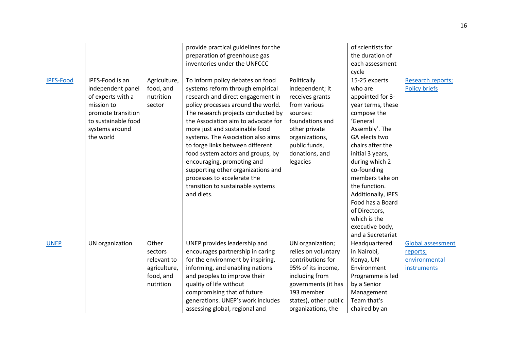|                  |                     |              | provide practical guidelines for the |                       | of scientists for  |                          |
|------------------|---------------------|--------------|--------------------------------------|-----------------------|--------------------|--------------------------|
|                  |                     |              | preparation of greenhouse gas        |                       | the duration of    |                          |
|                  |                     |              | inventories under the UNFCCC         |                       | each assessment    |                          |
|                  |                     |              |                                      |                       | cycle              |                          |
| <b>IPES-Food</b> | IPES-Food is an     | Agriculture, | To inform policy debates on food     | Politically           | 15-25 experts      | Research reports;        |
|                  | independent panel   | food, and    | systems reform through empirical     | independent; it       | who are            | <b>Policy briefs</b>     |
|                  | of experts with a   | nutrition    | research and direct engagement in    | receives grants       | appointed for 3-   |                          |
|                  | mission to          | sector       | policy processes around the world.   | from various          | year terms, these  |                          |
|                  | promote transition  |              | The research projects conducted by   | sources:              | compose the        |                          |
|                  | to sustainable food |              | the Association aim to advocate for  | foundations and       | 'General           |                          |
|                  | systems around      |              | more just and sustainable food       | other private         | Assembly'. The     |                          |
|                  | the world           |              | systems. The Association also aims   | organizations,        | GA elects two      |                          |
|                  |                     |              | to forge links between different     | public funds,         | chairs after the   |                          |
|                  |                     |              | food system actors and groups, by    | donations, and        | initial 3 years,   |                          |
|                  |                     |              | encouraging, promoting and           | legacies              | during which 2     |                          |
|                  |                     |              | supporting other organizations and   |                       | co-founding        |                          |
|                  |                     |              | processes to accelerate the          |                       | members take on    |                          |
|                  |                     |              | transition to sustainable systems    |                       | the function.      |                          |
|                  |                     |              | and diets.                           |                       | Additionally, iPES |                          |
|                  |                     |              |                                      |                       | Food has a Board   |                          |
|                  |                     |              |                                      |                       | of Directors,      |                          |
|                  |                     |              |                                      |                       | which is the       |                          |
|                  |                     |              |                                      |                       | executive body,    |                          |
|                  |                     |              |                                      |                       | and a Secretariat  |                          |
| <b>UNEP</b>      | UN organization     | Other        | UNEP provides leadership and         | UN organization;      | Headquartered      | <b>Global assessment</b> |
|                  |                     | sectors      | encourages partnership in caring     | relies on voluntary   | in Nairobi,        | reports;                 |
|                  |                     | relevant to  | for the environment by inspiring,    | contributions for     | Kenya, UN          | environmental            |
|                  |                     | agriculture, | informing, and enabling nations      | 95% of its income,    | Environment        | instruments              |
|                  |                     | food, and    | and peoples to improve their         | including from        | Programme is led   |                          |
|                  |                     | nutrition    | quality of life without              | governments (it has   | by a Senior        |                          |
|                  |                     |              | compromising that of future          | 193 member            | Management         |                          |
|                  |                     |              | generations. UNEP's work includes    | states), other public | Team that's        |                          |
|                  |                     |              | assessing global, regional and       | organizations, the    | chaired by an      |                          |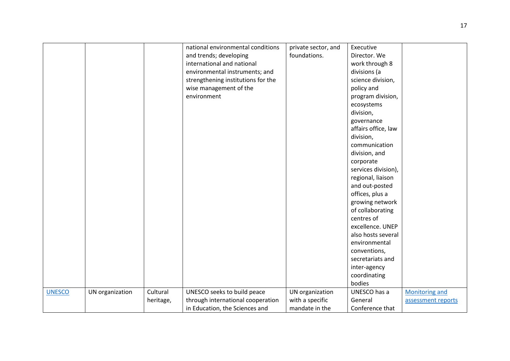|               |                 |           | national environmental conditions<br>and trends; developing<br>international and national<br>environmental instruments; and<br>strengthening institutions for the<br>wise management of the<br>environment | private sector, and<br>foundations. | Executive<br>Director. We<br>work through 8<br>divisions (a<br>science division,<br>policy and<br>program division,<br>ecosystems<br>division,<br>governance<br>affairs office, law<br>division,<br>communication<br>division, and<br>corporate<br>services division),<br>regional, liaison<br>and out-posted<br>offices, plus a<br>growing network<br>of collaborating<br>centres of<br>excellence. UNEP<br>also hosts several<br>environmental<br>conventions,<br>secretariats and<br>inter-agency<br>coordinating<br>bodies |                       |
|---------------|-----------------|-----------|------------------------------------------------------------------------------------------------------------------------------------------------------------------------------------------------------------|-------------------------------------|--------------------------------------------------------------------------------------------------------------------------------------------------------------------------------------------------------------------------------------------------------------------------------------------------------------------------------------------------------------------------------------------------------------------------------------------------------------------------------------------------------------------------------|-----------------------|
|               |                 |           |                                                                                                                                                                                                            |                                     |                                                                                                                                                                                                                                                                                                                                                                                                                                                                                                                                |                       |
|               |                 |           |                                                                                                                                                                                                            |                                     |                                                                                                                                                                                                                                                                                                                                                                                                                                                                                                                                |                       |
| <b>UNESCO</b> | UN organization | Cultural  | UNESCO seeks to build peace                                                                                                                                                                                | UN organization                     | UNESCO has a                                                                                                                                                                                                                                                                                                                                                                                                                                                                                                                   | <b>Monitoring and</b> |
|               |                 | heritage, | through international cooperation                                                                                                                                                                          | with a specific                     | General                                                                                                                                                                                                                                                                                                                                                                                                                                                                                                                        | assessment reports    |
|               |                 |           | in Education, the Sciences and                                                                                                                                                                             | mandate in the                      | Conference that                                                                                                                                                                                                                                                                                                                                                                                                                                                                                                                |                       |